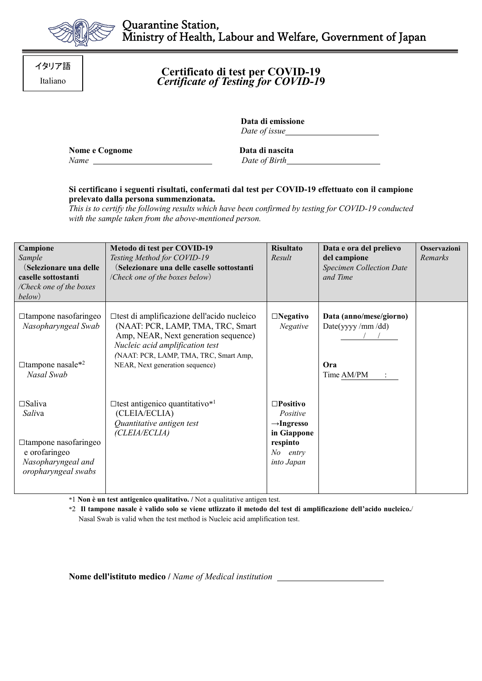

**Certificato di test per COVID-19** *Certificate of Testing for COVID-1***9**

> **Data di emissione**  *Date of issue*

**Nome e Cognome Data di nascita** *Name Date of Birth*

## **Si certificano i seguenti risultati, confermati dal test per COVID-19 effettuato con il campione prelevato dalla persona summenzionata.**

*This is to certify the following results which have been confirmed by testing for COVID-19 conducted with the sample taken from the above-mentioned person.*

| Campione                                                                             | Metodo di test per COVID-19                                                                                                                                                                           | <b>Risultato</b>                                                        | Data e ora del prelievo                     | <b>Osservazioni</b> |
|--------------------------------------------------------------------------------------|-------------------------------------------------------------------------------------------------------------------------------------------------------------------------------------------------------|-------------------------------------------------------------------------|---------------------------------------------|---------------------|
| Sample                                                                               | Testing Method for COVID-19                                                                                                                                                                           | Result                                                                  | del campione                                | Remarks             |
| (Selezionare una delle                                                               | (Selezionare una delle caselle sottostanti                                                                                                                                                            |                                                                         | <b>Specimen Collection Date</b>             |                     |
| caselle sottostanti                                                                  | (Check one of the boxes below)                                                                                                                                                                        |                                                                         | and Time                                    |                     |
| /Check one of the boxes                                                              |                                                                                                                                                                                                       |                                                                         |                                             |                     |
| below)                                                                               |                                                                                                                                                                                                       |                                                                         |                                             |                     |
| $\Box$ tampone nasofaringeo<br>Nasopharyngeal Swab                                   | □test di amplificazione dell'acido nucleico<br>(NAAT: PCR, LAMP, TMA, TRC, Smart<br>Amp, NEAR, Next generation sequence)<br>Nucleic acid amplification test<br>(NAAT: PCR, LAMP, TMA, TRC, Smart Amp, | $\square$ Negativo<br><b>Negative</b>                                   | Data (anno/mese/giorno)<br>Date(yyyy/mm/dd) |                     |
| $\Box$ tampone nasale* <sup>2</sup><br>Nasal Swab                                    | NEAR, Next generation sequence)                                                                                                                                                                       |                                                                         | Ora<br>Time AM/PM                           |                     |
| $\square$ Saliva<br>Saliva                                                           | $\Box$ test antigenico quantitativo* <sup>1</sup><br>(CLEIA/ECLIA)<br>Quantitative antigen test<br>(CLEIA/ECLIA)                                                                                      | $\square$ Positivo<br>Positive<br>$\rightarrow$ Ingresso<br>in Giappone |                                             |                     |
| □ tampone nasofaringeo<br>e orofaringeo<br>Nasopharyngeal and<br>oropharyngeal swabs |                                                                                                                                                                                                       | respinto<br>No entry<br>into Japan                                      |                                             |                     |

\*1 **Non è un test antigenico qualitativo. /** Not a qualitative antigen test.

\*2 **Il tampone nasale è valido solo se viene utlizzato il metodo del test di amplificazione dell'acido nucleico.**/ Nasal Swab is valid when the test method is Nucleic acid amplification test.

**Nome dell'istituto medico /** *Name of Medical institution* 

イタリア語 Italiano